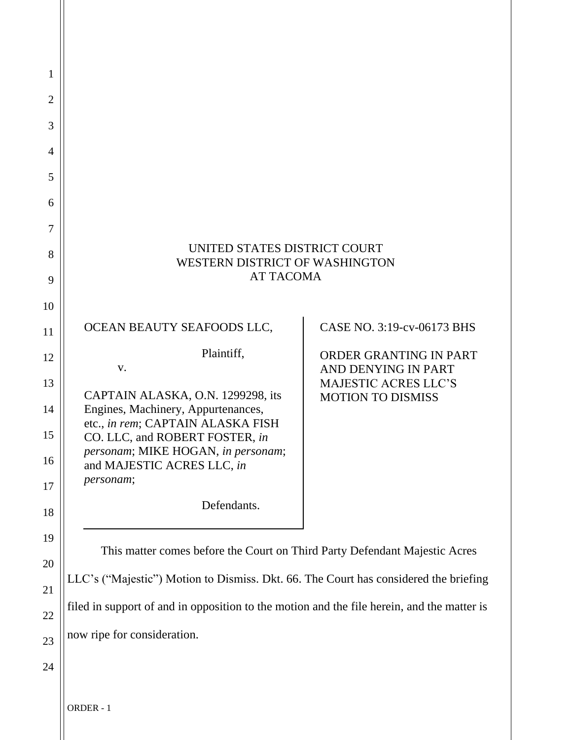| 1              |                                                                                            |                                                         |
|----------------|--------------------------------------------------------------------------------------------|---------------------------------------------------------|
| $\overline{2}$ |                                                                                            |                                                         |
| 3              |                                                                                            |                                                         |
| $\overline{4}$ |                                                                                            |                                                         |
| 5              |                                                                                            |                                                         |
| 6              |                                                                                            |                                                         |
| 7              |                                                                                            |                                                         |
| 8              | UNITED STATES DISTRICT COURT<br>WESTERN DISTRICT OF WASHINGTON                             |                                                         |
| 9              | <b>AT TACOMA</b>                                                                           |                                                         |
| 10             |                                                                                            |                                                         |
| 11             | OCEAN BEAUTY SEAFOODS LLC,                                                                 | CASE NO. 3:19-cv-06173 BHS                              |
| 12             | Plaintiff,<br>V.                                                                           | ORDER GRANTING IN PART<br>AND DENYING IN PART           |
| 13             | CAPTAIN ALASKA, O.N. 1299298, its                                                          | <b>MAJESTIC ACRES LLC'S</b><br><b>MOTION TO DISMISS</b> |
| 14             | Engines, Machinery, Appurtenances,<br>etc., in rem; CAPTAIN ALASKA FISH                    |                                                         |
| 15             | CO. LLC, and ROBERT FOSTER, in<br>personam; MIKE HOGAN, in personam;                       |                                                         |
| 16             | and MAJESTIC ACRES LLC, in<br>personam;                                                    |                                                         |
| 17             | Defendants.                                                                                |                                                         |
| 18             |                                                                                            |                                                         |
| 19             | This matter comes before the Court on Third Party Defendant Majestic Acres                 |                                                         |
| 20<br>21       | LLC's ("Majestic") Motion to Dismiss. Dkt. 66. The Court has considered the briefing       |                                                         |
| 22             | filed in support of and in opposition to the motion and the file herein, and the matter is |                                                         |
| 23             | now ripe for consideration.                                                                |                                                         |
| 24             |                                                                                            |                                                         |
|                |                                                                                            |                                                         |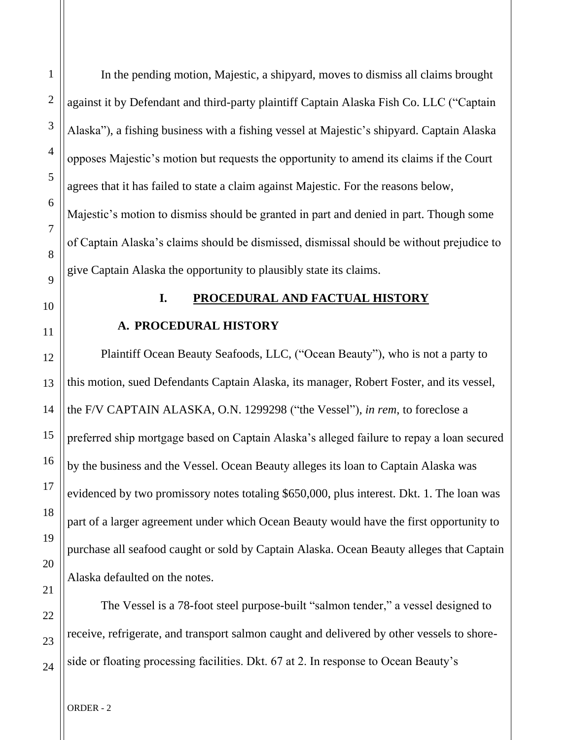In the pending motion, Majestic, a shipyard, moves to dismiss all claims brought against it by Defendant and third-party plaintiff Captain Alaska Fish Co. LLC ("Captain Alaska"), a fishing business with a fishing vessel at Majestic's shipyard. Captain Alaska opposes Majestic's motion but requests the opportunity to amend its claims if the Court agrees that it has failed to state a claim against Majestic. For the reasons below, Majestic's motion to dismiss should be granted in part and denied in part. Though some of Captain Alaska's claims should be dismissed, dismissal should be without prejudice to give Captain Alaska the opportunity to plausibly state its claims.

1

### **I. PROCEDURAL AND FACTUAL HISTORY**

### **A. PROCEDURAL HISTORY**

Plaintiff Ocean Beauty Seafoods, LLC, ("Ocean Beauty"), who is not a party to this motion, sued Defendants Captain Alaska, its manager, Robert Foster, and its vessel, the F/V CAPTAIN ALASKA, O.N. 1299298 ("the Vessel"), *in rem*, to foreclose a preferred ship mortgage based on Captain Alaska's alleged failure to repay a loan secured by the business and the Vessel. Ocean Beauty alleges its loan to Captain Alaska was evidenced by two promissory notes totaling \$650,000, plus interest. Dkt. 1. The loan was part of a larger agreement under which Ocean Beauty would have the first opportunity to purchase all seafood caught or sold by Captain Alaska. Ocean Beauty alleges that Captain Alaska defaulted on the notes.

The Vessel is a 78-foot steel purpose-built "salmon tender," a vessel designed to receive, refrigerate, and transport salmon caught and delivered by other vessels to shoreside or floating processing facilities. Dkt. 67 at 2. In response to Ocean Beauty's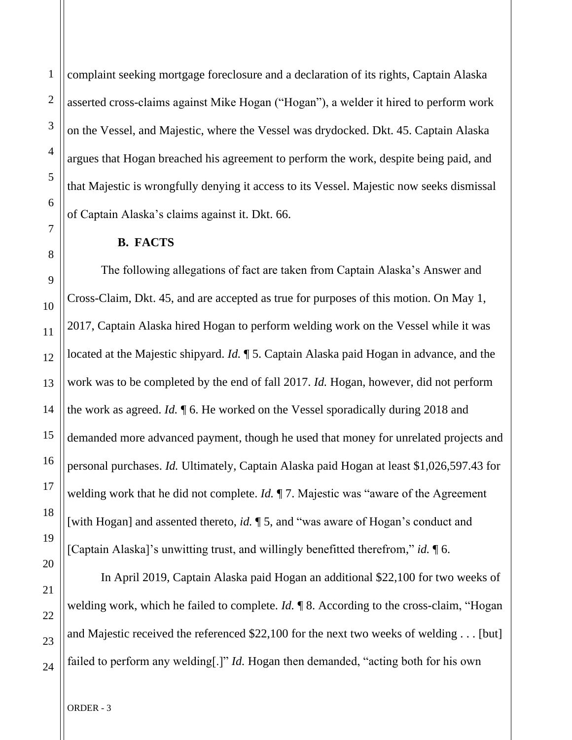complaint seeking mortgage foreclosure and a declaration of its rights, Captain Alaska asserted cross-claims against Mike Hogan ("Hogan"), a welder it hired to perform work on the Vessel, and Majestic, where the Vessel was drydocked. Dkt. 45. Captain Alaska argues that Hogan breached his agreement to perform the work, despite being paid, and that Majestic is wrongfully denying it access to its Vessel. Majestic now seeks dismissal of Captain Alaska's claims against it. Dkt. 66.

#### **B. FACTS**

The following allegations of fact are taken from Captain Alaska's Answer and Cross-Claim, Dkt. 45, and are accepted as true for purposes of this motion. On May 1, 2017, Captain Alaska hired Hogan to perform welding work on the Vessel while it was located at the Majestic shipyard. *Id.* ¶ 5. Captain Alaska paid Hogan in advance, and the work was to be completed by the end of fall 2017. *Id.* Hogan, however, did not perform the work as agreed. *Id.* ¶ 6. He worked on the Vessel sporadically during 2018 and demanded more advanced payment, though he used that money for unrelated projects and personal purchases. *Id.* Ultimately, Captain Alaska paid Hogan at least \$1,026,597.43 for welding work that he did not complete. *Id.* ¶ 7. Majestic was "aware of the Agreement [with Hogan] and assented thereto, *id.* 15, and "was aware of Hogan's conduct and [Captain Alaska]'s unwitting trust, and willingly benefitted therefrom," *id.* ¶ 6.

In April 2019, Captain Alaska paid Hogan an additional \$22,100 for two weeks of welding work, which he failed to complete. *Id.* ¶ 8. According to the cross-claim, "Hogan and Majestic received the referenced \$22,100 for the next two weeks of welding . . . [but] failed to perform any welding[.]" *Id.* Hogan then demanded, "acting both for his own

1

2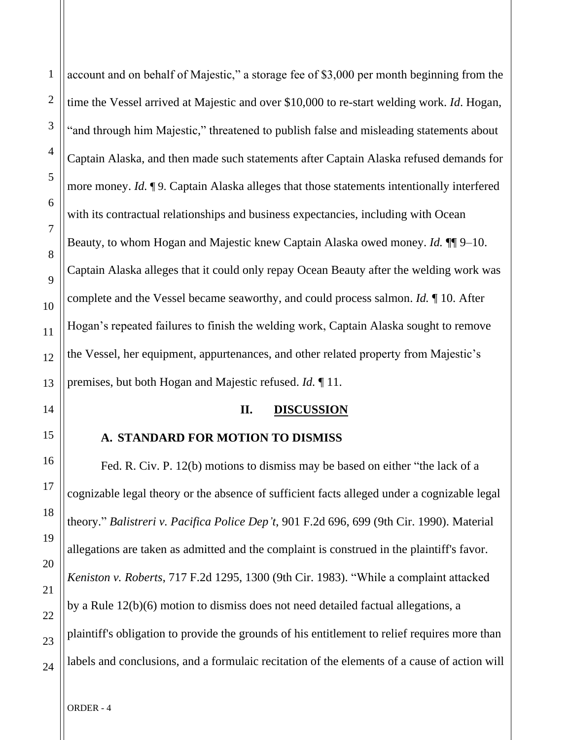account and on behalf of Majestic," a storage fee of \$3,000 per month beginning from the time the Vessel arrived at Majestic and over \$10,000 to re-start welding work. *Id*. Hogan, "and through him Majestic," threatened to publish false and misleading statements about Captain Alaska, and then made such statements after Captain Alaska refused demands for more money. *Id.* ¶ 9. Captain Alaska alleges that those statements intentionally interfered with its contractual relationships and business expectancies, including with Ocean Beauty, to whom Hogan and Majestic knew Captain Alaska owed money. *Id.* ¶¶ 9–10. Captain Alaska alleges that it could only repay Ocean Beauty after the welding work was complete and the Vessel became seaworthy, and could process salmon. *Id.* ¶ 10. After Hogan's repeated failures to finish the welding work, Captain Alaska sought to remove the Vessel, her equipment, appurtenances, and other related property from Majestic's premises, but both Hogan and Majestic refused. *Id.* ¶ 11.

### **II. DISCUSSION**

### **A. STANDARD FOR MOTION TO DISMISS**

Fed. R. Civ. P. 12(b) motions to dismiss may be based on either "the lack of a cognizable legal theory or the absence of sufficient facts alleged under a cognizable legal theory." *Balistreri v. Pacifica Police Dep't*, 901 F.2d 696, 699 (9th Cir. 1990). Material allegations are taken as admitted and the complaint is construed in the plaintiff's favor. *Keniston v. Roberts*, 717 F.2d 1295, 1300 (9th Cir. 1983). "While a complaint attacked by a Rule 12(b)(6) motion to dismiss does not need detailed factual allegations, a plaintiff's obligation to provide the grounds of his entitlement to relief requires more than labels and conclusions, and a formulaic recitation of the elements of a cause of action will

1

2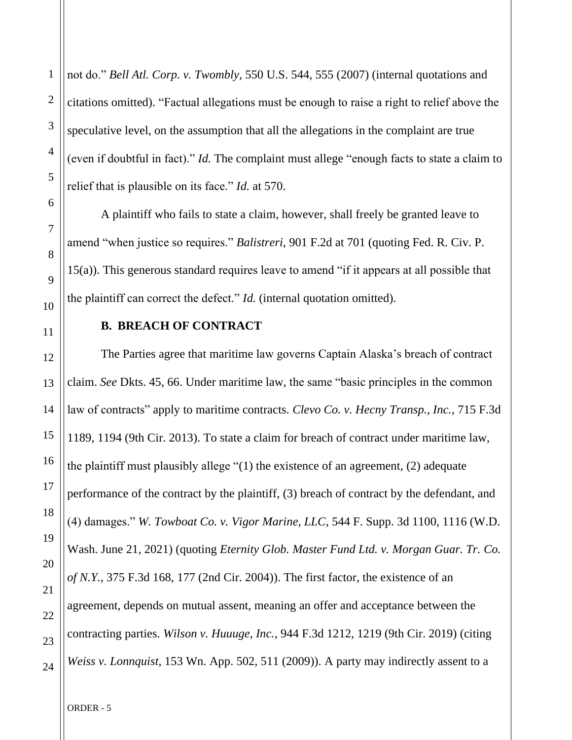not do." *Bell Atl. Corp. v. Twombly*, 550 U.S. 544, 555 (2007) (internal quotations and citations omitted). "Factual allegations must be enough to raise a right to relief above the speculative level, on the assumption that all the allegations in the complaint are true (even if doubtful in fact)." *Id.* The complaint must allege "enough facts to state a claim to relief that is plausible on its face." *Id.* at 570.

A plaintiff who fails to state a claim, however, shall freely be granted leave to amend "when justice so requires." *Balistreri*, 901 F.2d at 701 (quoting Fed. R. Civ. P. 15(a)). This generous standard requires leave to amend "if it appears at all possible that the plaintiff can correct the defect." *Id.* (internal quotation omitted).

## **B. BREACH OF CONTRACT**

The Parties agree that maritime law governs Captain Alaska's breach of contract claim. *See* Dkts. 45, 66. Under maritime law, the same "basic principles in the common law of contracts" apply to maritime contracts. *Clevo Co. v. Hecny Transp., Inc.*, 715 F.3d 1189, 1194 (9th Cir. 2013). To state a claim for breach of contract under maritime law, the plaintiff must plausibly allege "(1) the existence of an agreement, (2) adequate performance of the contract by the plaintiff, (3) breach of contract by the defendant, and (4) damages." *W. Towboat Co. v. Vigor Marine, LLC*, 544 F. Supp. 3d 1100, 1116 (W.D. Wash. June 21, 2021) (quoting *Eternity Glob. Master Fund Ltd. v. Morgan Guar. Tr. Co. of N.Y.*, 375 F.3d 168, 177 (2nd Cir. 2004)). The first factor, the existence of an agreement, depends on mutual assent, meaning an offer and acceptance between the contracting parties. *Wilson v. Huuuge, Inc.*, 944 F.3d 1212, 1219 (9th Cir. 2019) (citing *Weiss v. Lonnquist*, 153 Wn. App. 502, 511 (2009)). A party may indirectly assent to a

1

2

3

4

5

6

7

8

 $\overline{Q}$ 

10

11

12

13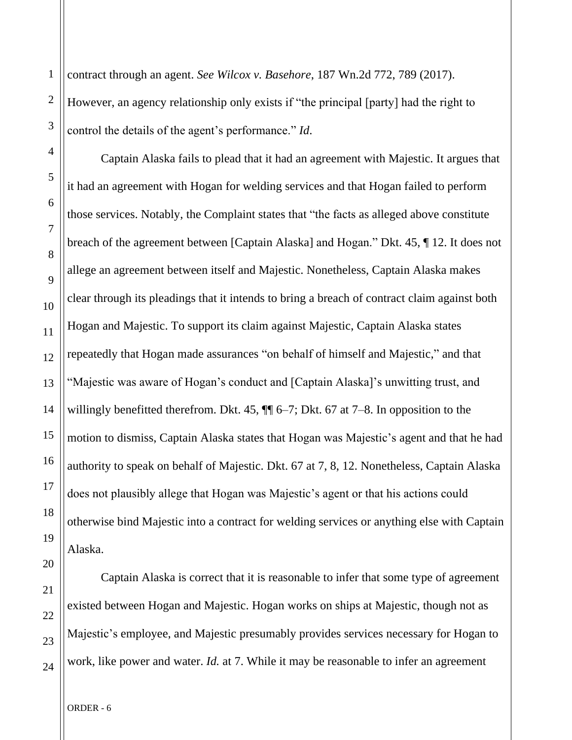contract through an agent. *See Wilcox v. Basehore*, 187 Wn.2d 772, 789 (2017).

However, an agency relationship only exists if "the principal [party] had the right to control the details of the agent's performance." *Id*.

Captain Alaska fails to plead that it had an agreement with Majestic. It argues that it had an agreement with Hogan for welding services and that Hogan failed to perform those services. Notably, the Complaint states that "the facts as alleged above constitute breach of the agreement between [Captain Alaska] and Hogan." Dkt. 45, ¶ 12. It does not allege an agreement between itself and Majestic. Nonetheless, Captain Alaska makes clear through its pleadings that it intends to bring a breach of contract claim against both Hogan and Majestic. To support its claim against Majestic, Captain Alaska states repeatedly that Hogan made assurances "on behalf of himself and Majestic," and that "Majestic was aware of Hogan's conduct and [Captain Alaska]'s unwitting trust, and willingly benefitted therefrom. Dkt. 45,  $\P$  $[$  6–7; Dkt. 67 at 7–8. In opposition to the motion to dismiss, Captain Alaska states that Hogan was Majestic's agent and that he had authority to speak on behalf of Majestic. Dkt. 67 at 7, 8, 12. Nonetheless, Captain Alaska does not plausibly allege that Hogan was Majestic's agent or that his actions could otherwise bind Majestic into a contract for welding services or anything else with Captain Alaska.

Captain Alaska is correct that it is reasonable to infer that some type of agreement existed between Hogan and Majestic. Hogan works on ships at Majestic, though not as Majestic's employee, and Majestic presumably provides services necessary for Hogan to work, like power and water. *Id.* at 7. While it may be reasonable to infer an agreement

1

2

3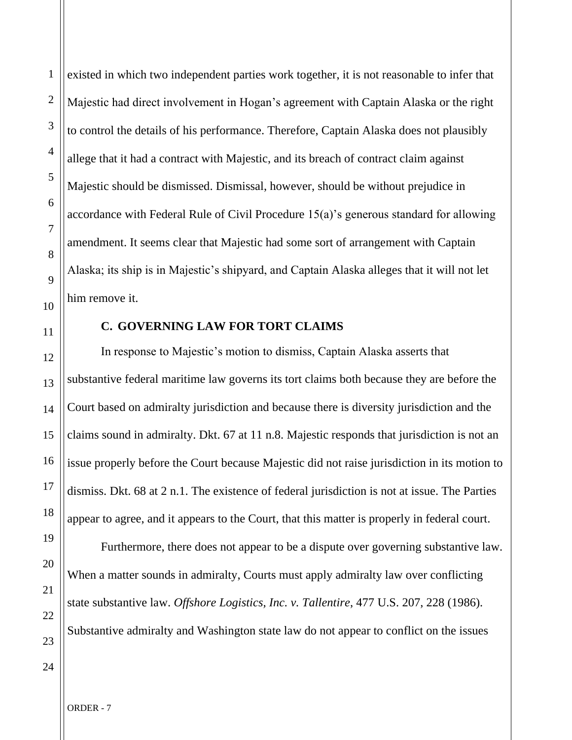existed in which two independent parties work together, it is not reasonable to infer that Majestic had direct involvement in Hogan's agreement with Captain Alaska or the right to control the details of his performance. Therefore, Captain Alaska does not plausibly allege that it had a contract with Majestic, and its breach of contract claim against Majestic should be dismissed. Dismissal, however, should be without prejudice in accordance with Federal Rule of Civil Procedure 15(a)'s generous standard for allowing amendment. It seems clear that Majestic had some sort of arrangement with Captain Alaska; its ship is in Majestic's shipyard, and Captain Alaska alleges that it will not let him remove it.

## **C. GOVERNING LAW FOR TORT CLAIMS**

In response to Majestic's motion to dismiss, Captain Alaska asserts that substantive federal maritime law governs its tort claims both because they are before the Court based on admiralty jurisdiction and because there is diversity jurisdiction and the claims sound in admiralty. Dkt. 67 at 11 n.8. Majestic responds that jurisdiction is not an issue properly before the Court because Majestic did not raise jurisdiction in its motion to dismiss. Dkt. 68 at 2 n.1. The existence of federal jurisdiction is not at issue. The Parties appear to agree, and it appears to the Court, that this matter is properly in federal court.

Furthermore, there does not appear to be a dispute over governing substantive law. When a matter sounds in admiralty, Courts must apply admiralty law over conflicting state substantive law. *Offshore Logistics, Inc. v. Tallentire*, 477 U.S. 207, 228 (1986). Substantive admiralty and Washington state law do not appear to conflict on the issues

24

1

2

3

4

5

6

7

8

 $\overline{Q}$ 

10

11

12

13

14

15

16

17

18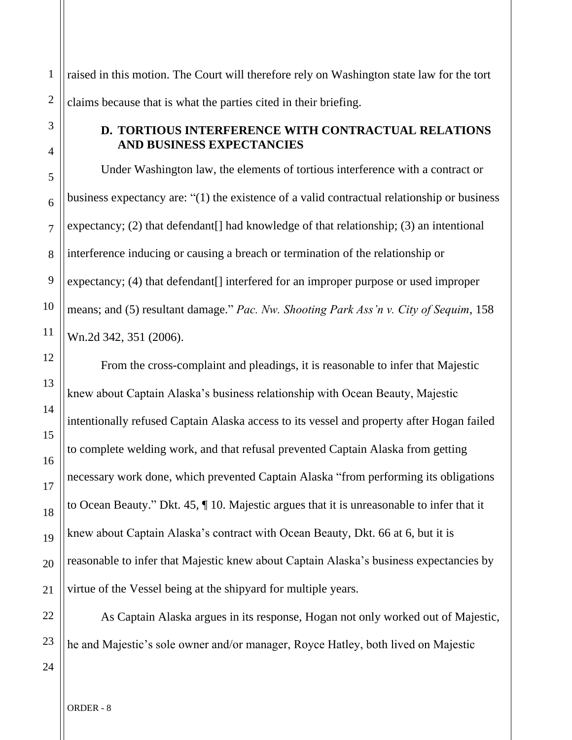1 2 raised in this motion. The Court will therefore rely on Washington state law for the tort claims because that is what the parties cited in their briefing.

## **D. TORTIOUS INTERFERENCE WITH CONTRACTUAL RELATIONS AND BUSINESS EXPECTANCIES**

Under Washington law, the elements of tortious interference with a contract or business expectancy are: "(1) the existence of a valid contractual relationship or business expectancy; (2) that defendant[] had knowledge of that relationship; (3) an intentional interference inducing or causing a breach or termination of the relationship or expectancy; (4) that defendant<sup>[]</sup> interfered for an improper purpose or used improper means; and (5) resultant damage." *Pac. Nw. Shooting Park Ass'n v. City of Sequim*, 158 Wn.2d 342, 351 (2006).

From the cross-complaint and pleadings, it is reasonable to infer that Majestic knew about Captain Alaska's business relationship with Ocean Beauty, Majestic intentionally refused Captain Alaska access to its vessel and property after Hogan failed to complete welding work, and that refusal prevented Captain Alaska from getting necessary work done, which prevented Captain Alaska "from performing its obligations to Ocean Beauty." Dkt. 45, ¶ 10. Majestic argues that it is unreasonable to infer that it knew about Captain Alaska's contract with Ocean Beauty, Dkt. 66 at 6, but it is reasonable to infer that Majestic knew about Captain Alaska's business expectancies by virtue of the Vessel being at the shipyard for multiple years.

As Captain Alaska argues in its response, Hogan not only worked out of Majestic, he and Majestic's sole owner and/or manager, Royce Hatley, both lived on Majestic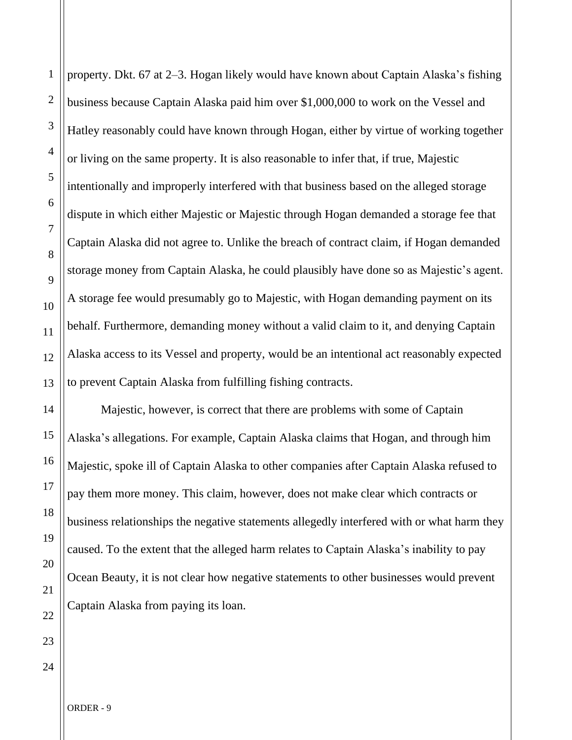property. Dkt. 67 at 2–3. Hogan likely would have known about Captain Alaska's fishing business because Captain Alaska paid him over \$1,000,000 to work on the Vessel and Hatley reasonably could have known through Hogan, either by virtue of working together or living on the same property. It is also reasonable to infer that, if true, Majestic intentionally and improperly interfered with that business based on the alleged storage dispute in which either Majestic or Majestic through Hogan demanded a storage fee that Captain Alaska did not agree to. Unlike the breach of contract claim, if Hogan demanded storage money from Captain Alaska, he could plausibly have done so as Majestic's agent. A storage fee would presumably go to Majestic, with Hogan demanding payment on its behalf. Furthermore, demanding money without a valid claim to it, and denying Captain Alaska access to its Vessel and property, would be an intentional act reasonably expected to prevent Captain Alaska from fulfilling fishing contracts.

Majestic, however, is correct that there are problems with some of Captain Alaska's allegations. For example, Captain Alaska claims that Hogan, and through him Majestic, spoke ill of Captain Alaska to other companies after Captain Alaska refused to pay them more money. This claim, however, does not make clear which contracts or business relationships the negative statements allegedly interfered with or what harm they caused. To the extent that the alleged harm relates to Captain Alaska's inability to pay Ocean Beauty, it is not clear how negative statements to other businesses would prevent Captain Alaska from paying its loan.

1

2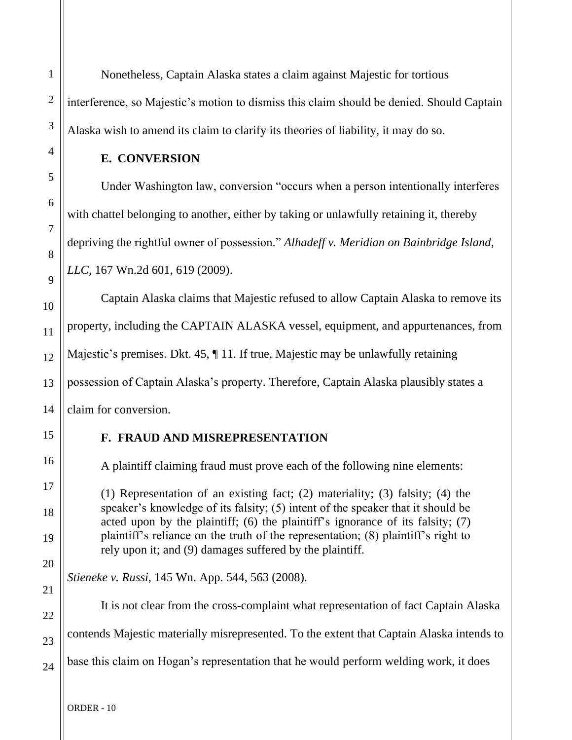Nonetheless, Captain Alaska states a claim against Majestic for tortious interference, so Majestic's motion to dismiss this claim should be denied. Should Captain Alaska wish to amend its claim to clarify its theories of liability, it may do so.

### **E. CONVERSION**

Under Washington law, conversion "occurs when a person intentionally interferes with chattel belonging to another, either by taking or unlawfully retaining it, thereby depriving the rightful owner of possession." *Alhadeff v. Meridian on Bainbridge Island, LLC*, 167 Wn.2d 601, 619 (2009).

Captain Alaska claims that Majestic refused to allow Captain Alaska to remove its property, including the CAPTAIN ALASKA vessel, equipment, and appurtenances, from Majestic's premises. Dkt. 45, ¶ 11. If true, Majestic may be unlawfully retaining possession of Captain Alaska's property. Therefore, Captain Alaska plausibly states a claim for conversion.

## **F. FRAUD AND MISREPRESENTATION**

A plaintiff claiming fraud must prove each of the following nine elements:

(1) Representation of an existing fact; (2) materiality; (3) falsity; (4) the speaker's knowledge of its falsity; (5) intent of the speaker that it should be acted upon by the plaintiff; (6) the plaintiff's ignorance of its falsity; (7) plaintiff's reliance on the truth of the representation; (8) plaintiff's right to rely upon it; and (9) damages suffered by the plaintiff.

*Stieneke v. Russi*, 145 Wn. App. 544, 563 (2008).

It is not clear from the cross-complaint what representation of fact Captain Alaska contends Majestic materially misrepresented. To the extent that Captain Alaska intends to base this claim on Hogan's representation that he would perform welding work, it does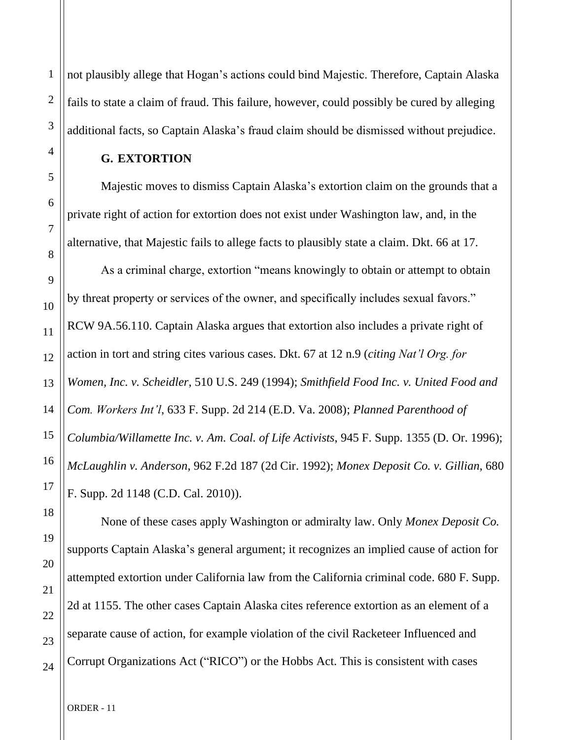not plausibly allege that Hogan's actions could bind Majestic. Therefore, Captain Alaska fails to state a claim of fraud. This failure, however, could possibly be cured by alleging additional facts, so Captain Alaska's fraud claim should be dismissed without prejudice.

### **G. EXTORTION**

Majestic moves to dismiss Captain Alaska's extortion claim on the grounds that a private right of action for extortion does not exist under Washington law, and, in the alternative, that Majestic fails to allege facts to plausibly state a claim. Dkt. 66 at 17.

As a criminal charge, extortion "means knowingly to obtain or attempt to obtain by threat property or services of the owner, and specifically includes sexual favors." RCW 9A.56.110. Captain Alaska argues that extortion also includes a private right of action in tort and string cites various cases. Dkt. 67 at 12 n.9 (*citing Nat'l Org. for Women, Inc. v. Scheidler*, 510 U.S. 249 (1994); *Smithfield Food Inc. v. United Food and Com. Workers Int'l*, 633 F. Supp. 2d 214 (E.D. Va. 2008); *Planned Parenthood of Columbia/Willamette Inc. v. Am. Coal. of Life Activists*, 945 F. Supp. 1355 (D. Or. 1996); *McLaughlin v. Anderson*, 962 F.2d 187 (2d Cir. 1992); *Monex Deposit Co. v. Gillian*, 680 F. Supp. 2d 1148 (C.D. Cal. 2010)).

1

2

3

4

5

6

7

8

9

10

11

12

13

14

15

16

None of these cases apply Washington or admiralty law. Only *Monex Deposit Co.*  supports Captain Alaska's general argument; it recognizes an implied cause of action for attempted extortion under California law from the California criminal code. 680 F. Supp. 2d at 1155. The other cases Captain Alaska cites reference extortion as an element of a separate cause of action, for example violation of the civil Racketeer Influenced and Corrupt Organizations Act ("RICO") or the Hobbs Act. This is consistent with cases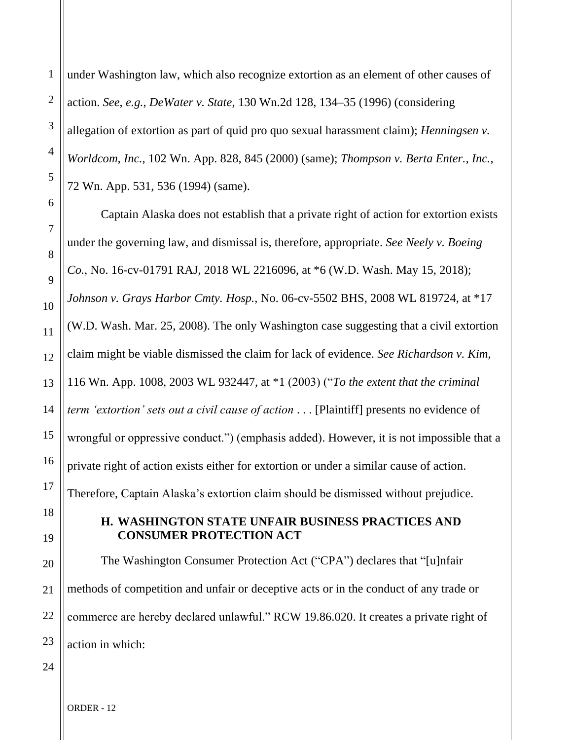under Washington law, which also recognize extortion as an element of other causes of action. *See, e.g.*, *DeWater v. State*, 130 Wn.2d 128, 134–35 (1996) (considering allegation of extortion as part of quid pro quo sexual harassment claim); *Henningsen v. Worldcom, Inc.*, 102 Wn. App. 828, 845 (2000) (same); *Thompson v. Berta Enter., Inc.*, 72 Wn. App. 531, 536 (1994) (same).

Captain Alaska does not establish that a private right of action for extortion exists under the governing law, and dismissal is, therefore, appropriate. *See Neely v. Boeing Co.*, No. 16-cv-01791 RAJ, 2018 WL 2216096, at \*6 (W.D. Wash. May 15, 2018); *Johnson v. Grays Harbor Cmty. Hosp.*, No. 06-cv-5502 BHS, 2008 WL 819724, at \*17 (W.D. Wash. Mar. 25, 2008). The only Washington case suggesting that a civil extortion claim might be viable dismissed the claim for lack of evidence. *See Richardson v. Kim*, 116 Wn. App. 1008, 2003 WL 932447, at \*1 (2003) ("*To the extent that the criminal term 'extortion' sets out a civil cause of action* . . . [Plaintiff] presents no evidence of wrongful or oppressive conduct.") (emphasis added). However, it is not impossible that a private right of action exists either for extortion or under a similar cause of action. Therefore, Captain Alaska's extortion claim should be dismissed without prejudice.

## **H. WASHINGTON STATE UNFAIR BUSINESS PRACTICES AND CONSUMER PROTECTION ACT**

The Washington Consumer Protection Act ("CPA") declares that "[u]nfair methods of competition and unfair or deceptive acts or in the conduct of any trade or commerce are hereby declared unlawful." RCW 19.86.020. It creates a private right of action in which: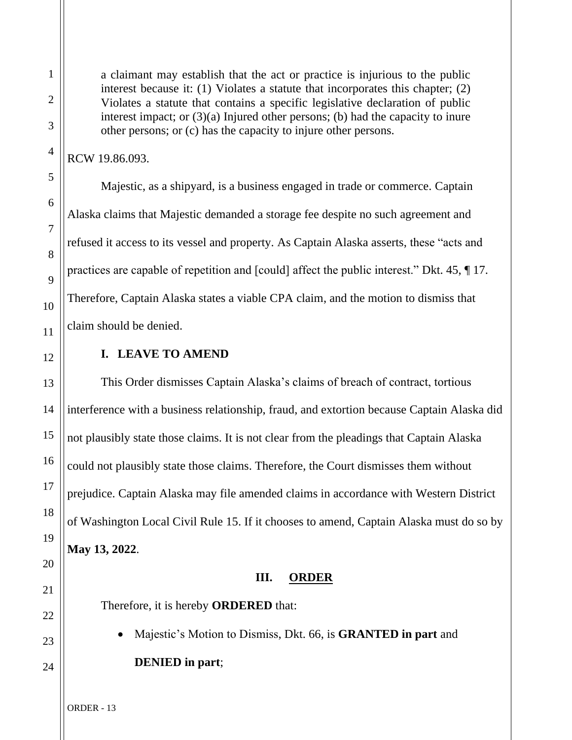a claimant may establish that the act or practice is injurious to the public interest because it: (1) Violates a statute that incorporates this chapter; (2) Violates a statute that contains a specific legislative declaration of public interest impact; or (3)(a) Injured other persons; (b) had the capacity to inure other persons; or (c) has the capacity to injure other persons.

RCW 19.86.093.

Majestic, as a shipyard, is a business engaged in trade or commerce. Captain Alaska claims that Majestic demanded a storage fee despite no such agreement and refused it access to its vessel and property. As Captain Alaska asserts, these "acts and practices are capable of repetition and [could] affect the public interest." Dkt. 45, ¶ 17. Therefore, Captain Alaska states a viable CPA claim, and the motion to dismiss that claim should be denied.

# **I. LEAVE TO AMEND**

This Order dismisses Captain Alaska's claims of breach of contract, tortious interference with a business relationship, fraud, and extortion because Captain Alaska did not plausibly state those claims. It is not clear from the pleadings that Captain Alaska could not plausibly state those claims. Therefore, the Court dismisses them without prejudice. Captain Alaska may file amended claims in accordance with Western District of Washington Local Civil Rule 15. If it chooses to amend, Captain Alaska must do so by **May 13, 2022**.

# **III. ORDER**

Therefore, it is hereby **ORDERED** that:

• Majestic's Motion to Dismiss, Dkt. 66, is **GRANTED in part** and

**DENIED in part**;